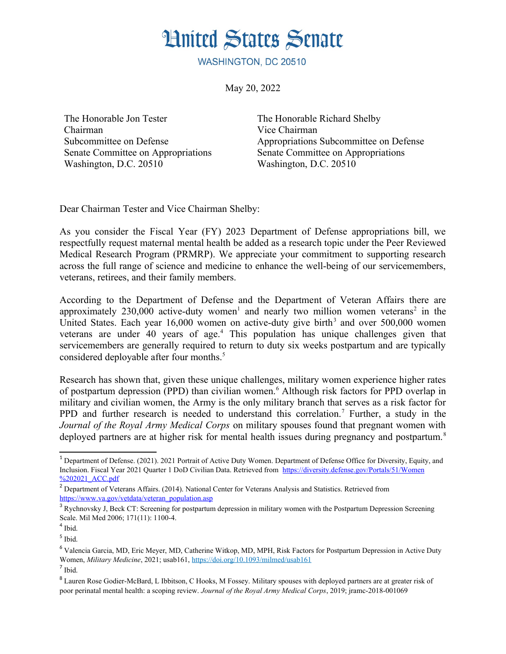

WASHINGTON, DC 20510

May 20, 2022

The Honorable Jon Tester Chairman Subcommittee on Defense Senate Committee on Appropriations Washington, D.C. 20510

<span id="page-0-14"></span><span id="page-0-4"></span><span id="page-0-2"></span>The Honorable Richard Shelby Vice Chairman Appropriations Subcommittee on Defense Senate Committee on Appropriations Washington, D.C. 20510

Dear Chairman Tester and Vice Chairman Shelby:

As you consider the Fiscal Year (FY) 2023 Department of Defense appropriations bill, we respectfully request maternal mental health be added as a research topic under the Peer Reviewed Medical Research Program (PRMRP). We appreciate your commitment to supporting research across the full range of science and medicine to enhance the well-being of our servicemembers, veterans, retirees, and their family members.

<span id="page-0-6"></span><span id="page-0-0"></span>According to the Department of Defense and the Department of Veteran Affairs there are approximately 230,000 active-duty women<sup>[1](#page-0-1)</sup> and nearly two million women veterans<sup>[2](#page-0-3)</sup> in the United States. Each year  $16,000$  women on active-duty give birth<sup>[3](#page-0-5)</sup> and over 500,000 women veterans are under [4](#page-0-7)0 years of age.<sup>4</sup> This population has unique challenges given that servicemembers are generally required to return to duty six weeks postpartum and are typically considered deployable after four months.<sup>[5](#page-0-9)</sup>

<span id="page-0-12"></span><span id="page-0-10"></span><span id="page-0-8"></span>Research has shown that, given these unique challenges, military women experience higher rates of postpartum depression (PPD) than civilian women.<sup>[6](#page-0-11)</sup> Although risk factors for PPD overlap in military and civilian women, the Army is the only military branch that serves as a risk factor for PPD and further research is needed to understand this correlation.<sup>[7](#page-0-13)</sup> Further, a study in the *Journal of the Royal Army Medical Corps* on military spouses found that pregnant women with deployed partners are at higher risk for mental health issues during pregnancy and postpartum.<sup>[8](#page-0-15)</sup>

<span id="page-0-1"></span><sup>&</sup>lt;sup>[1](#page-0-0)</sup> Department of Defense. (2021). 2021 Portrait of Active Duty Women. Department of Defense Office for Diversity. Equity, and Inclusion. Fiscal Year 2021 Quarter 1 DoD Civilian Data. Retrieved from https://diversity.defense.gov/Portals/51/Women %202021\_ACC.pdf

<span id="page-0-3"></span><sup>&</sup>lt;sup>[2](#page-0-2)</sup> Department of Veterans Affairs. (2014). National Center for Veterans Analysis and Statistics. Retrieved from https://www.va.gov/vetdata/veteran\_population.asp

<span id="page-0-5"></span><sup>&</sup>lt;sup>[3](#page-0-4)</sup> Rychnovsky J. Beck CT: Screening for postpartum depression in military women with the Postpartum Depression Screening Scale. Mil Med 2006; 171(11): 1100-4.

<span id="page-0-7"></span> $4$  Ibid.

<span id="page-0-9"></span>[<sup>5</sup>](#page-0-8) Ibid.

<span id="page-0-11"></span>[<sup>6</sup>](#page-0-10) Valencia Garcia, MD, Eric Meyer, MD, Catherine Witkop, MD, MPH, Risk Factors for Postpartum Depression in Active Duty Women, *Military Medicine*, 2021; usab161, https://doi.org/10.1093/milmed/usab161

<span id="page-0-13"></span>[<sup>7</sup>](#page-0-12) Ibid.

<span id="page-0-15"></span><sup>&</sup>lt;sup>[8](#page-0-14)</sup> Lauren Rose Godier-McBard, L Ibbitson, C Hooks, M Fossey, Military spouses with deployed partners are at greater risk of poor perinatal mental health: a scoping review. *Journal of the Royal Army Medical Corps*, 2019; jramc-2018-001069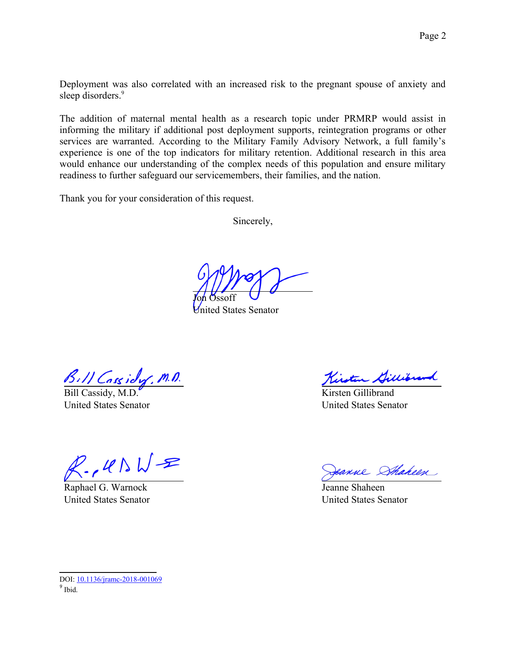<span id="page-1-0"></span>Deployment was also correlated with an increased risk to the pregnant spouse of anxiety and sleep disorders.<sup>[9](#page-1-1)</sup>

The addition of maternal mental health as a research topic under PRMRP would assist in informing the military if additional post deployment supports, reintegration programs or other services are warranted. According to the Military Family Advisory Network, a full family's experience is one of the top indicators for military retention. Additional research in this area would enhance our understanding of the complex needs of this population and ensure military readiness to further safeguard our servicemembers, their families, and the nation.

Thank you for your consideration of this request.

Sincerely,

Joh Ossoft

ted States Senator

 $\frac{\beta_s}{\text{Bill Cassidy } M.D.}$ 

United States Senator

 $R.145WR$ 

Raphael G. Warnock United States Senator

Kirsten Gillibrand

Kirsten Gillibrand United States Senator

Jeanne Shaheen

Jeanne Shaheen United States Senator

<span id="page-1-1"></span>DOI: [10.1136/jramc-2018-001069](http://dx.doi.org/10.1136/jramc-2018-001069) [9](#page-1-0) Ibid.